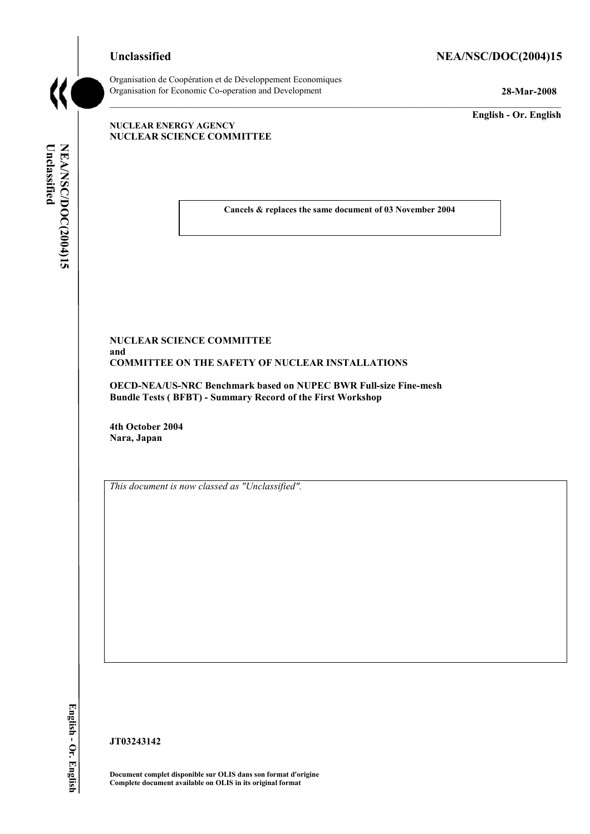## Unclassified NEA/NSC/DOC(2004)15



Organisation de CoopÈration et de DÈveloppement Economiques Organisation for Economic Co-operation and Development **28-Mar-2008** 

**English - Or. English** 

#### **NUCLEAR ENERGY AGENCY NUCLEAR SCIENCE COMMITTEE**

Unclassified NEA/NSC/DOC(2004)15 **Unclassified NEA/NSC/DOC(2004)15 English - Or. English**

**Cancels & replaces the same document of 03 November 2004** 

#### **NUCLEAR SCIENCE COMMITTEE and COMMITTEE ON THE SAFETY OF NUCLEAR INSTALLATIONS**

**OECD-NEA/US-NRC Benchmark based on NUPEC BWR Full-size Fine-mesh Bundle Tests ( BFBT) - Summary Record of the First Workshop** 

**4th October 2004 Nara, Japan** 

*This document is now classed as "Unclassified".* 

**JT03243142** 

**Document complet disponible sur OLIS dans son format d'origine Complete document available on OLIS in its original format**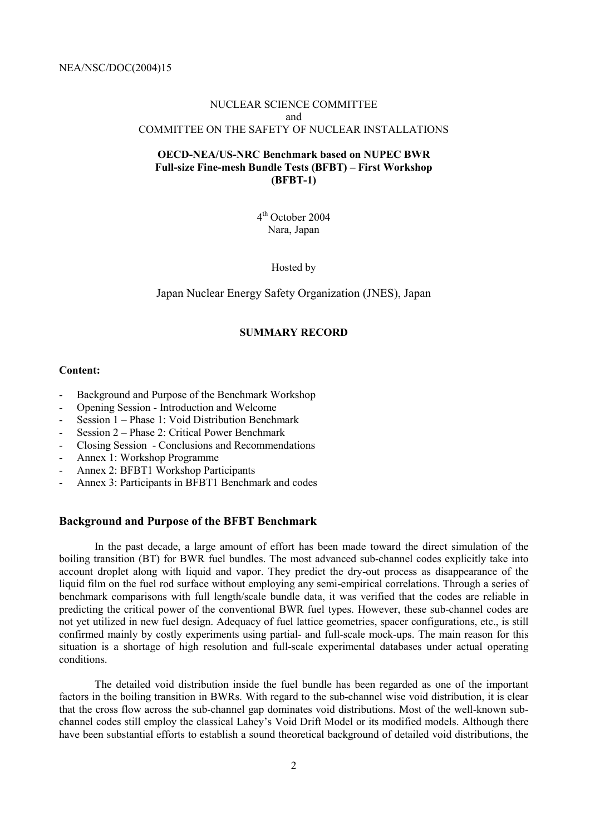## NUCLEAR SCIENCE COMMITTEE and COMMITTEE ON THE SAFETY OF NUCLEAR INSTALLATIONS

## **OECD-NEA/US-NRC Benchmark based on NUPEC BWR**  Full-size Fine-mesh Bundle Tests (BFBT) – First Workshop **(BFBT-1)**

4th October 2004 Nara, Japan

Hosted by

Japan Nuclear Energy Safety Organization (JNES), Japan

## **SUMMARY RECORD**

#### **Content:**

- Background and Purpose of the Benchmark Workshop
- Opening Session Introduction and Welcome
- Session  $1 -$  Phase 1: Void Distribution Benchmark
- Session  $2$  Phase 2: Critical Power Benchmark
- Closing Session Conclusions and Recommendations
- Annex 1: Workshop Programme
- Annex 2: BFBT1 Workshop Participants
- Annex 3: Participants in BFBT1 Benchmark and codes

#### **Background and Purpose of the BFBT Benchmark**

In the past decade, a large amount of effort has been made toward the direct simulation of the boiling transition (BT) for BWR fuel bundles. The most advanced sub-channel codes explicitly take into account droplet along with liquid and vapor. They predict the dry-out process as disappearance of the liquid film on the fuel rod surface without employing any semi-empirical correlations. Through a series of benchmark comparisons with full length/scale bundle data, it was verified that the codes are reliable in predicting the critical power of the conventional BWR fuel types. However, these sub-channel codes are not yet utilized in new fuel design. Adequacy of fuel lattice geometries, spacer configurations, etc., is still confirmed mainly by costly experiments using partial- and full-scale mock-ups. The main reason for this situation is a shortage of high resolution and full-scale experimental databases under actual operating conditions.

The detailed void distribution inside the fuel bundle has been regarded as one of the important factors in the boiling transition in BWRs. With regard to the sub-channel wise void distribution, it is clear that the cross flow across the sub-channel gap dominates void distributions. Most of the well-known subchannel codes still employ the classical Lahey's Void Drift Model or its modified models. Although there have been substantial efforts to establish a sound theoretical background of detailed void distributions, the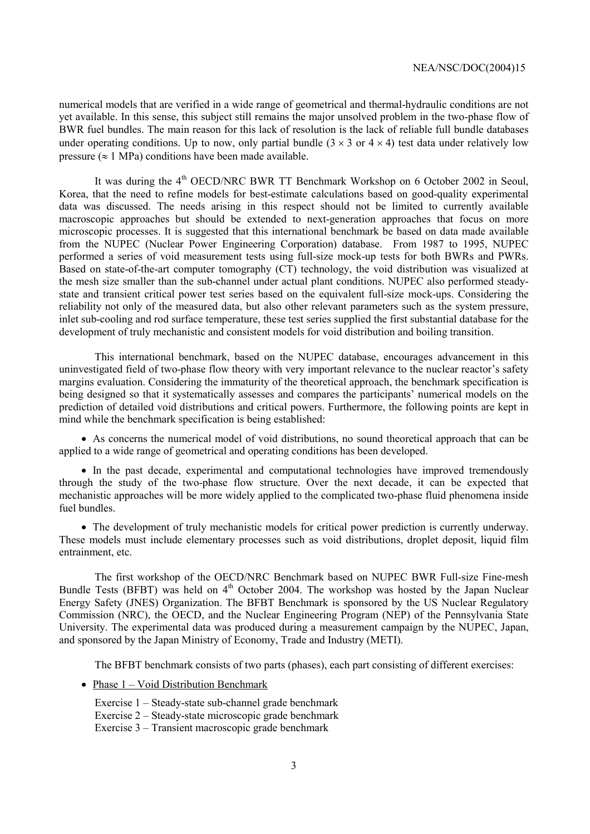numerical models that are verified in a wide range of geometrical and thermal-hydraulic conditions are not yet available. In this sense, this subject still remains the major unsolved problem in the two-phase flow of BWR fuel bundles. The main reason for this lack of resolution is the lack of reliable full bundle databases under operating conditions. Up to now, only partial bundle  $(3 \times 3 \text{ or } 4 \times 4)$  test data under relatively low pressure  $(\approx 1 \text{ MPa})$  conditions have been made available.

It was during the 4<sup>th</sup> OECD/NRC BWR TT Benchmark Workshop on 6 October 2002 in Seoul, Korea, that the need to refine models for best-estimate calculations based on good-quality experimental data was discussed. The needs arising in this respect should not be limited to currently available macroscopic approaches but should be extended to next-generation approaches that focus on more microscopic processes. It is suggested that this international benchmark be based on data made available from the NUPEC (Nuclear Power Engineering Corporation) database. From 1987 to 1995, NUPEC performed a series of void measurement tests using full-size mock-up tests for both BWRs and PWRs. Based on state-of-the-art computer tomography (CT) technology, the void distribution was visualized at the mesh size smaller than the sub-channel under actual plant conditions. NUPEC also performed steadystate and transient critical power test series based on the equivalent full-size mock-ups. Considering the reliability not only of the measured data, but also other relevant parameters such as the system pressure, inlet sub-cooling and rod surface temperature, these test series supplied the first substantial database for the development of truly mechanistic and consistent models for void distribution and boiling transition.

This international benchmark, based on the NUPEC database, encourages advancement in this uninvestigated field of two-phase flow theory with very important relevance to the nuclear reactor's safety margins evaluation. Considering the immaturity of the theoretical approach, the benchmark specification is being designed so that it systematically assesses and compares the participants' numerical models on the prediction of detailed void distributions and critical powers. Furthermore, the following points are kept in mind while the benchmark specification is being established:

• As concerns the numerical model of void distributions, no sound theoretical approach that can be applied to a wide range of geometrical and operating conditions has been developed.

• In the past decade, experimental and computational technologies have improved tremendously through the study of the two-phase flow structure. Over the next decade, it can be expected that mechanistic approaches will be more widely applied to the complicated two-phase fluid phenomena inside fuel bundles.

• The development of truly mechanistic models for critical power prediction is currently underway. These models must include elementary processes such as void distributions, droplet deposit, liquid film entrainment, etc.

The first workshop of the OECD/NRC Benchmark based on NUPEC BWR Full-size Fine-mesh Bundle Tests (BFBT) was held on  $4<sup>th</sup>$  October 2004. The workshop was hosted by the Japan Nuclear Energy Safety (JNES) Organization. The BFBT Benchmark is sponsored by the US Nuclear Regulatory Commission (NRC), the OECD, and the Nuclear Engineering Program (NEP) of the Pennsylvania State University. The experimental data was produced during a measurement campaign by the NUPEC, Japan, and sponsored by the Japan Ministry of Economy, Trade and Industry (METI).

The BFBT benchmark consists of two parts (phases), each part consisting of different exercises:

- Phase  $1 -$  Void Distribution Benchmark
	- Exercise  $1 Steadv-state sub-channel grade benchmark$ Exercise  $2 -$  Steady-state microscopic grade benchmark Exercise  $3 -$ Transient macroscopic grade benchmark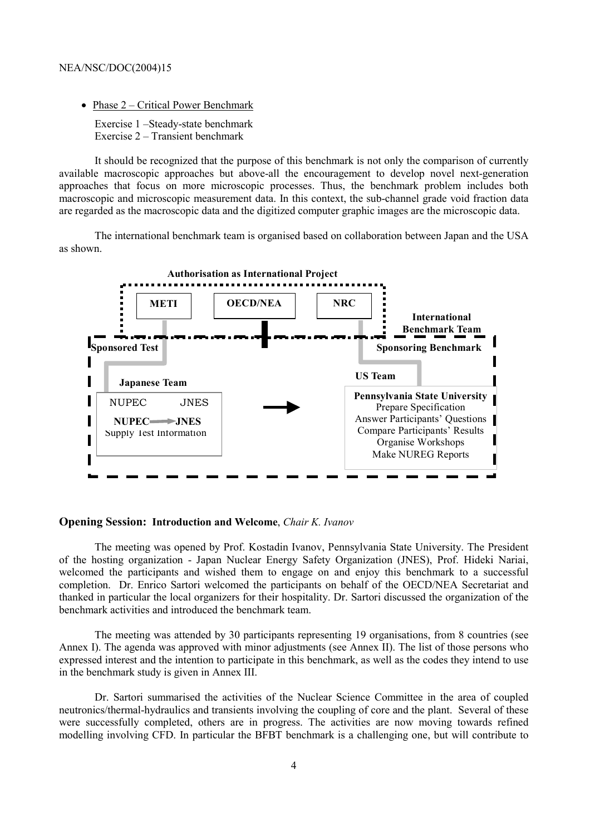• Phase  $2$  – Critical Power Benchmark

Exercise 1 -Steady-state benchmark Exercise  $2 -$ Transient benchmark

It should be recognized that the purpose of this benchmark is not only the comparison of currently available macroscopic approaches but above-all the encouragement to develop novel next-generation approaches that focus on more microscopic processes. Thus, the benchmark problem includes both macroscopic and microscopic measurement data. In this context, the sub-channel grade void fraction data are regarded as the macroscopic data and the digitized computer graphic images are the microscopic data.

The international benchmark team is organised based on collaboration between Japan and the USA as shown.



#### **Opening Session: Introduction and Welcome**, *Chair K. Ivanov*

The meeting was opened by Prof. Kostadin Ivanov, Pennsylvania State University. The President of the hosting organization - Japan Nuclear Energy Safety Organization (JNES), Prof. Hideki Nariai, welcomed the participants and wished them to engage on and enjoy this benchmark to a successful completion. Dr. Enrico Sartori welcomed the participants on behalf of the OECD/NEA Secretariat and thanked in particular the local organizers for their hospitality. Dr. Sartori discussed the organization of the benchmark activities and introduced the benchmark team.

The meeting was attended by 30 participants representing 19 organisations, from 8 countries (see Annex I). The agenda was approved with minor adjustments (see Annex II). The list of those persons who expressed interest and the intention to participate in this benchmark, as well as the codes they intend to use in the benchmark study is given in Annex III.

Dr. Sartori summarised the activities of the Nuclear Science Committee in the area of coupled neutronics/thermal-hydraulics and transients involving the coupling of core and the plant. Several of these were successfully completed, others are in progress. The activities are now moving towards refined modelling involving CFD. In particular the BFBT benchmark is a challenging one, but will contribute to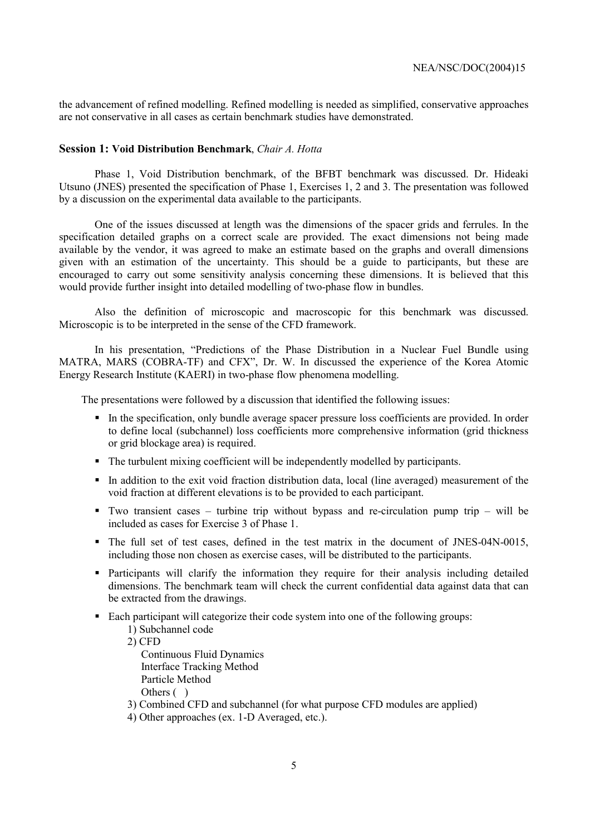the advancement of refined modelling. Refined modelling is needed as simplified, conservative approaches are not conservative in all cases as certain benchmark studies have demonstrated.

#### **Session 1: Void Distribution Benchmark**, *Chair A. Hotta*

Phase 1, Void Distribution benchmark, of the BFBT benchmark was discussed. Dr. Hideaki Utsuno (JNES) presented the specification of Phase 1, Exercises 1, 2 and 3. The presentation was followed by a discussion on the experimental data available to the participants.

One of the issues discussed at length was the dimensions of the spacer grids and ferrules. In the specification detailed graphs on a correct scale are provided. The exact dimensions not being made available by the vendor, it was agreed to make an estimate based on the graphs and overall dimensions given with an estimation of the uncertainty. This should be a guide to participants, but these are encouraged to carry out some sensitivity analysis concerning these dimensions. It is believed that this would provide further insight into detailed modelling of two-phase flow in bundles.

Also the definition of microscopic and macroscopic for this benchmark was discussed. Microscopic is to be interpreted in the sense of the CFD framework.

In his presentation, "Predictions of the Phase Distribution in a Nuclear Fuel Bundle using MATRA, MARS (COBRA-TF) and CFX", Dr. W. In discussed the experience of the Korea Atomic Energy Research Institute (KAERI) in two-phase flow phenomena modelling.

The presentations were followed by a discussion that identified the following issues:

- ! In the specification, only bundle average spacer pressure loss coefficients are provided. In order to define local (subchannel) loss coefficients more comprehensive information (grid thickness or grid blockage area) is required.
- ! The turbulent mixing coefficient will be independently modelled by participants.
- ! In addition to the exit void fraction distribution data, local (line averaged) measurement of the void fraction at different elevations is to be provided to each participant.
- " Two transient cases turbine trip without bypass and re-circulation pump trip will be included as cases for Exercise 3 of Phase 1.
- ! The full set of test cases, defined in the test matrix in the document of JNES-04N-0015, including those non chosen as exercise cases, will be distributed to the participants.
- ! Participants will clarify the information they require for their analysis including detailed dimensions. The benchmark team will check the current confidential data against data that can be extracted from the drawings.
- ! Each participant will categorize their code system into one of the following groups:
	- 1) Subchannel code
	- 2) CFD

 Continuous Fluid Dynamics Interface Tracking Method Particle Method Others ()

- 3) Combined CFD and subchannel (for what purpose CFD modules are applied)
- 4) Other approaches (ex. 1-D Averaged, etc.).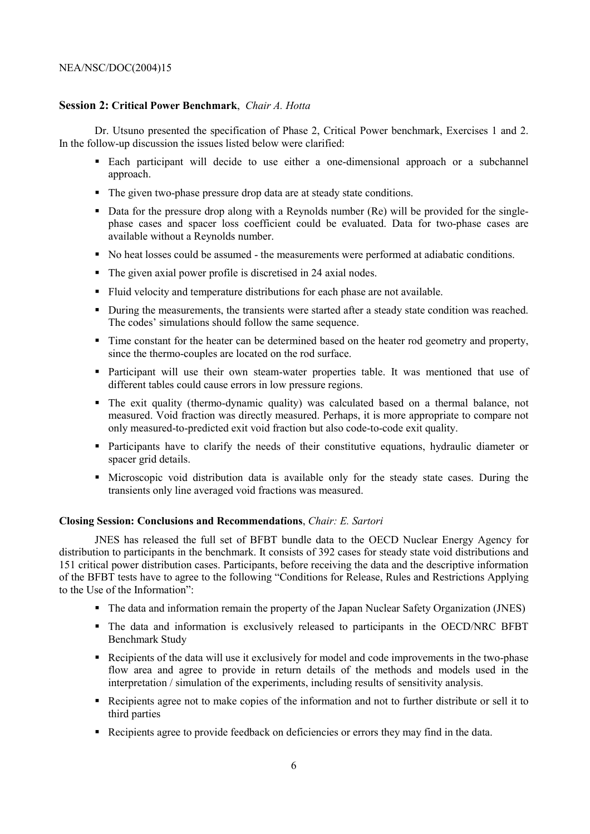## **Session 2: Critical Power Benchmark**, *Chair A. Hotta*

Dr. Utsuno presented the specification of Phase 2, Critical Power benchmark, Exercises 1 and 2. In the follow-up discussion the issues listed below were clarified:

- ! Each participant will decide to use either a one-dimensional approach or a subchannel approach.
- ! The given two-phase pressure drop data are at steady state conditions.
- ! Data for the pressure drop along with a Reynolds number (Re) will be provided for the singlephase cases and spacer loss coefficient could be evaluated. Data for two-phase cases are available without a Reynolds number.
- ! No heat losses could be assumed the measurements were performed at adiabatic conditions.
- ! The given axial power profile is discretised in 24 axial nodes.
- ! Fluid velocity and temperature distributions for each phase are not available.
- ! During the measurements, the transients were started after a steady state condition was reached. The codes' simulations should follow the same sequence.
- ! Time constant for the heater can be determined based on the heater rod geometry and property, since the thermo-couples are located on the rod surface.
- ! Participant will use their own steam-water properties table. It was mentioned that use of different tables could cause errors in low pressure regions.
- ! The exit quality (thermo-dynamic quality) was calculated based on a thermal balance, not measured. Void fraction was directly measured. Perhaps, it is more appropriate to compare not only measured-to-predicted exit void fraction but also code-to-code exit quality.
- ! Participants have to clarify the needs of their constitutive equations, hydraulic diameter or spacer grid details.
- ! Microscopic void distribution data is available only for the steady state cases. During the transients only line averaged void fractions was measured.

#### **Closing Session: Conclusions and Recommendations**, *Chair: E. Sartori*

JNES has released the full set of BFBT bundle data to the OECD Nuclear Energy Agency for distribution to participants in the benchmark. It consists of 392 cases for steady state void distributions and 151 critical power distribution cases. Participants, before receiving the data and the descriptive information of the BFBT tests have to agree to the following "Conditions for Release, Rules and Restrictions Applying to the Use of the Information":

- ! The data and information remain the property of the Japan Nuclear Safety Organization (JNES)
- ! The data and information is exclusively released to participants in the OECD/NRC BFBT Benchmark Study
- ! Recipients of the data will use it exclusively for model and code improvements in the two-phase flow area and agree to provide in return details of the methods and models used in the interpretation / simulation of the experiments, including results of sensitivity analysis.
- ! Recipients agree not to make copies of the information and not to further distribute or sell it to third parties
- ! Recipients agree to provide feedback on deficiencies or errors they may find in the data.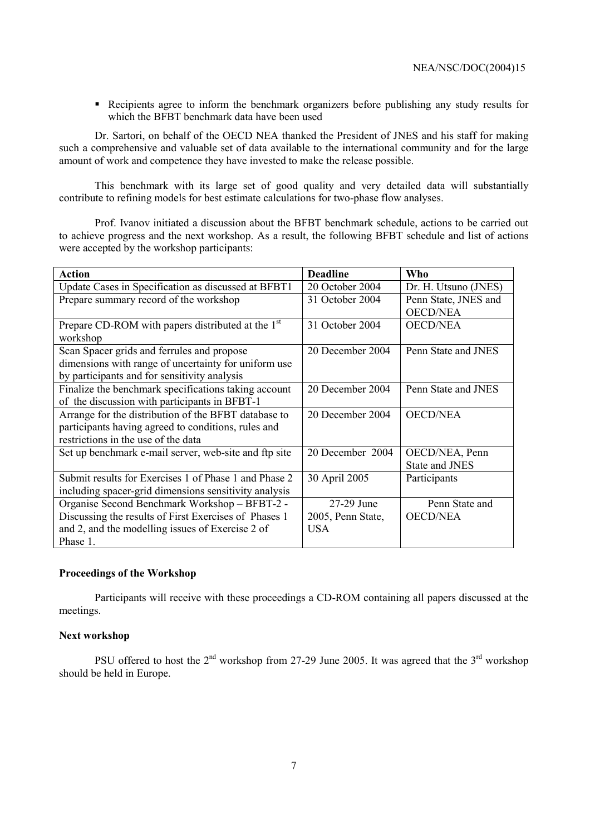! Recipients agree to inform the benchmark organizers before publishing any study results for which the BFBT benchmark data have been used

Dr. Sartori, on behalf of the OECD NEA thanked the President of JNES and his staff for making such a comprehensive and valuable set of data available to the international community and for the large amount of work and competence they have invested to make the release possible.

This benchmark with its large set of good quality and very detailed data will substantially contribute to refining models for best estimate calculations for two-phase flow analyses.

Prof. Ivanov initiated a discussion about the BFBT benchmark schedule, actions to be carried out to achieve progress and the next workshop. As a result, the following BFBT schedule and list of actions were accepted by the workshop participants:

| <b>Action</b>                                                 | <b>Deadline</b>   | Who                   |
|---------------------------------------------------------------|-------------------|-----------------------|
| Update Cases in Specification as discussed at BFBT1           | 20 October 2004   | Dr. H. Utsuno (JNES)  |
| Prepare summary record of the workshop                        | 31 October 2004   | Penn State, JNES and  |
|                                                               |                   | <b>OECD/NEA</b>       |
| Prepare CD-ROM with papers distributed at the 1 <sup>st</sup> | 31 October 2004   | <b>OECD/NEA</b>       |
| workshop                                                      |                   |                       |
| Scan Spacer grids and ferrules and propose                    | 20 December 2004  | Penn State and JNES   |
| dimensions with range of uncertainty for uniform use          |                   |                       |
| by participants and for sensitivity analysis                  |                   |                       |
| Finalize the benchmark specifications taking account          | 20 December 2004  | Penn State and JNES   |
| of the discussion with participants in BFBT-1                 |                   |                       |
| Arrange for the distribution of the BFBT database to          | 20 December 2004  | <b>OECD/NEA</b>       |
| participants having agreed to conditions, rules and           |                   |                       |
| restrictions in the use of the data                           |                   |                       |
| Set up benchmark e-mail server, web-site and ftp site         | 20 December 2004  | OECD/NEA, Penn        |
|                                                               |                   | <b>State and JNES</b> |
| Submit results for Exercises 1 of Phase 1 and Phase 2         | 30 April 2005     | Participants          |
| including spacer-grid dimensions sensitivity analysis         |                   |                       |
| Organise Second Benchmark Workshop - BFBT-2 -                 | 27-29 June        | Penn State and        |
| Discussing the results of First Exercises of Phases 1         | 2005, Penn State, | <b>OECD/NEA</b>       |
| and 2, and the modelling issues of Exercise 2 of              | <b>USA</b>        |                       |
| Phase 1.                                                      |                   |                       |

#### **Proceedings of the Workshop**

Participants will receive with these proceedings a CD-ROM containing all papers discussed at the meetings.

#### **Next workshop**

PSU offered to host the  $2^{nd}$  workshop from 27-29 June 2005. It was agreed that the  $3^{rd}$  workshop should be held in Europe.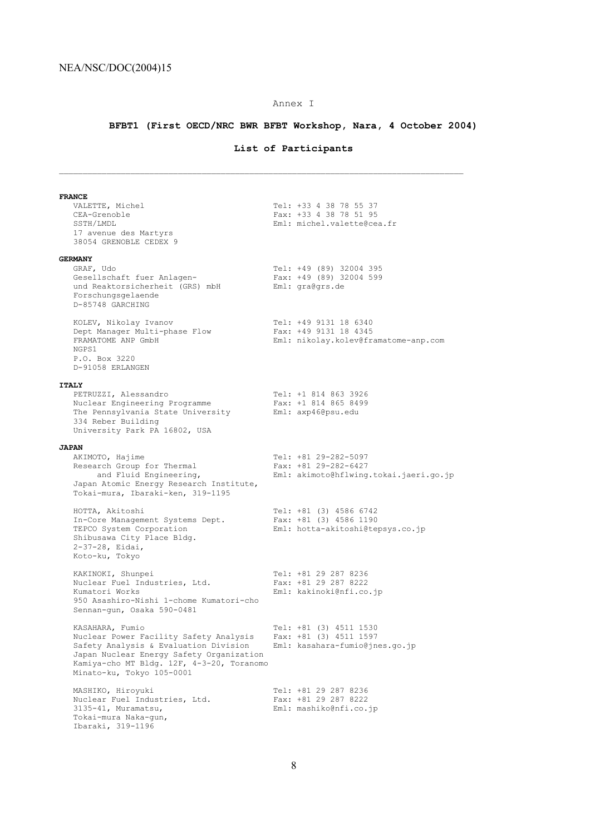## Annex I

## **BFBT1 (First OECD/NRC BWR BFBT Workshop, Nara, 4 October 2004)**

## **List of Participants**

 $\mathcal{L}_\text{max}$ 

| <b>FRANCE</b>                                                                                                                                                                                                            |                                                                                        |  |
|--------------------------------------------------------------------------------------------------------------------------------------------------------------------------------------------------------------------------|----------------------------------------------------------------------------------------|--|
| VALETTE, Michel<br>CEA-Grenoble<br>SSTH/LMDL<br>17 avenue des Martyrs<br>38054 GRENOBLE CEDEX 9                                                                                                                          | Tel: +33 4 38 78 55 37<br>Fax: +33 4 38 78 51 95<br>Eml: michel.valette@cea.fr         |  |
| <b>GERMANY</b>                                                                                                                                                                                                           |                                                                                        |  |
| GRAF, Udo<br>Gesellschaft fuer Anlagen-<br>und Reaktorsicherheit (GRS) mbH<br>Forschungsgelaende<br>D-85748 GARCHING                                                                                                     | Tel: +49 (89) 32004 395<br>Fax: +49 (89) 32004 599<br>Eml: gra@grs.de                  |  |
| KOLEV, Nikolay Ivanov<br>Dept Manager Multi-phase Flow<br>FRAMATOME ANP GmbH<br>NGPS1<br>P.O. Box 3220<br>D-91058 ERLANGEN                                                                                               | Tel: +49 9131 18 6340<br>Fax: +49 9131 18 4345<br>Eml: nikolay.kolev@framatome-anp.com |  |
| <b>ITALY</b>                                                                                                                                                                                                             |                                                                                        |  |
| PETRUZZI, Alessandro<br>Nuclear Engineering Programme<br>The Pennsylvania State University<br>334 Reber Building<br>University Park PA 16802, USA                                                                        | Tel: +1 814 863 3926<br>Fax: +1 814 865 8499<br>Eml: axp46@psu.edu                     |  |
| <b>JAPAN</b>                                                                                                                                                                                                             |                                                                                        |  |
| AKIMOTO, Hajime<br>Research Group for Thermal<br>and Fluid Engineering,<br>Japan Atomic Energy Research Institute,<br>Tokai-mura, Ibaraki-ken, 319-1195                                                                  | Tel: +81 29-282-5097<br>Fax: +81 29-282-6427<br>Eml: akimoto@hflwing.tokai.jaeri.go.jp |  |
| HOTTA, Akitoshi<br>In-Core Management Systems Dept.<br>TEPCO System Corporation<br>Shibusawa City Place Bldg.<br>2-37-28, Eidai,<br>Koto-ku, Tokyo                                                                       | Tel: +81 (3) 4586 6742<br>Fax: +81 (3) 4586 1190<br>Eml: hotta-akitoshi@tepsys.co.jp   |  |
| KAKINOKI, Shunpei<br>Nuclear Fuel Industries, Ltd.<br>Kumatori Works<br>950 Asashiro-Nishi 1-chome Kumatori-cho<br>Sennan-gun, Osaka 590-0481                                                                            | Tel: +81 29 287 8236<br>Fax: +81 29 287 8222<br>Eml: kakinoki@nfi.co.jp                |  |
| KASAHARA, Fumio<br>Nuclear Power Facility Safety Analysis<br>Safety Analysis & Evaluation Division<br>Japan Nuclear Energy Safety Organization<br>Kamiya-cho MT Bldg. 12F, 4-3-20, Toranomo<br>Minato-ku, Tokyo 105-0001 | Tel: +81 (3) 4511 1530<br>Fax: $+81$ (3) 4511 1597<br>Eml: kasahara-fumio@jnes.go.jp   |  |
| MASHIKO, Hiroyuki<br>Nuclear Fuel Industries, Ltd.<br>$3135 - 41$ , Muramatsu,<br>Tokai-mura Naka-gun,<br>Ibaraki, 319-1196                                                                                              | Tel: +81 29 287 8236<br>Fax: +81 29 287 8222<br>Eml: mashiko@nfi.co.jp                 |  |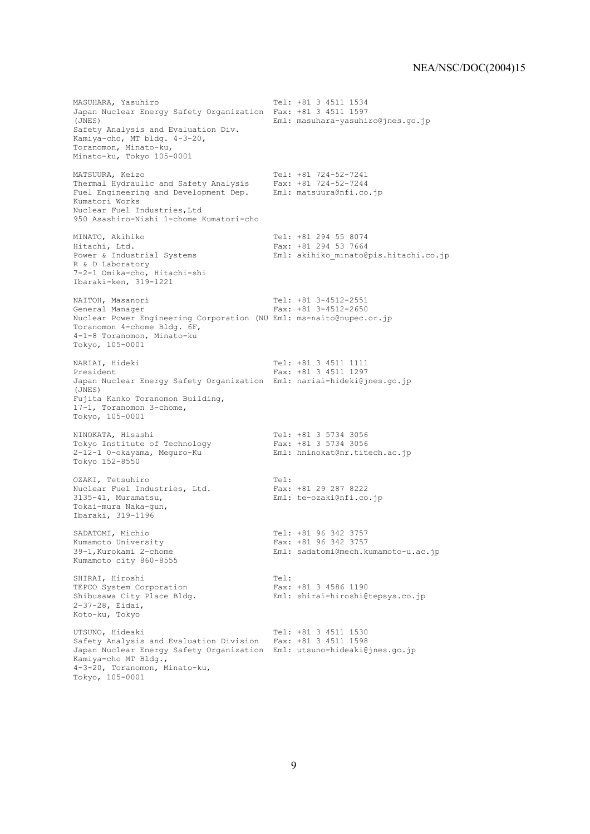MASUHARA, Yasuhiro Tel: +81 3 4511 1534 Japan Nuclear Energy Safety Organization Fax: +81 3 4511 1597 (JNES) Eml: masuhara-yasuhiro@jnes.go.jp Safety Analysis and Evaluation Div. Kamiya-cho, MT bldg. 4-3-20, Toranomon, Minato-ku, Minato-ku, Tokyo 105-0001 MATSUURA, Keizo Tel: +81 724-52-7241 Thermal Hydraulic and Safety Analysis Fax: +81 724-52-7244 Fuel Engineering and Development Dep. Eml: matsuura@nfi.co.jp Kumatori Works Nuclear Fuel Industries, Ltd 950 Asashiro-Nishi 1-chome Kumatori-cho MINATO, Akihiko Tel: +81 294 55 8074 Hitachi, Ltd. Fax: +81 294 53 7664<br>Power & Industrial Systems Fml: akihiko minato@ Eml: akihiko minato@pis.hitachi.co.jp R & D Laboratory 7-2-1 Omika-cho, Hitachi-shi Ibaraki-ken, 319-1221 NAITOH, Masanori 1992 1994 1994 1994 1994 1995 1997 1998 1999 1999 1999 1994 1994 1995 1998 1999 1999 1999 19<br>
Tax: +81 3-4512-2650 Fax:  $+81$  3-4512-2650 Nuclear Power Engineering Corporation (NU Eml: ms-naito@nupec.or.jp Toranomon 4-chome Bldg. 6F, 4-1-8 Toranomon, Minato-ku Tokyo, 105-0001 NARIAI, Hideki (1997)<br>President (1997)<br>Fax: +81 3 4511 1297 Fax: +81 3 4511 1297 Japan Nuclear Energy Safety Organization Eml: nariai-hideki@jnes.go.jp (JNES) Fujita Kanko Toranomon Building, 17-1, Toranomon 3-chome, Tokyo, 105-0001 NINOKATA, Hisashi Tel: +81 3 5734 3056<br>Tokyo Institute of Technology Fax: +81 3 5734 3056 Tokyo Institute of Technology<br>2-12-1 0-okayama, Meguro-Ku Eml: hninokat@nr.titech.ac.jp Tokyo 152-8550 OZAKI, Tetsuhiro (1992)<br>Nuclear Fuel Industries, Ltd. (1992) Fax: +81 29 287 8222 Nuclear Fuel Industries, Ltd.<br>3135-41, Muramatsu, Eml: te-ozaki@nfi.co.jp Tokai-mura Naka-gun, Ibaraki, 319-1196 SADATOMI, Michio Tel: +81 96 342 3757<br>
Kumamoto University Tax: +81 96 342 3757 Kumamoto University Fax: +81 96 342 3757<br>39-1.Kurokami 2-chome Eml: sadatomi@mech.k Eml: sadatomi@mech.kumamoto-u.ac.jp Kumamoto city 860-8555 SHIRAI, Hiroshi<br>
TEPCO System Corporation<br>
TEPCO System Corporation<br>
Tex: +81 3 4586 1190 TEPCO System Corporation<br>Shibusawa City Place Bldg. Eml: shirai-hiroshi@tepsys.co.jp 2-37-28, Eidai, Koto-ku, Tokyo UTSUNO, Hideaki Tel: +81 3 4511 1530 Safety Analysis and Evaluation Division Fax: +81 3 4511 1598 Japan Nuclear Energy Safety Organization Eml: utsuno-hideaki@jnes.go.jp Kamiya-cho MT Bldg., 4-3-20, Toranomon, Minato-ku, Tokyo, 105-0001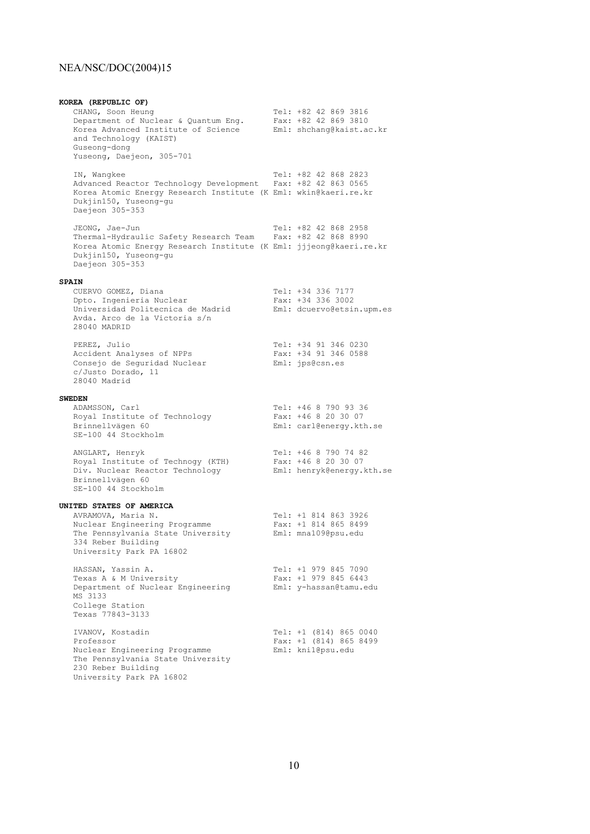**KOREA (REPUBLIC OF)** CHANG, Soon Heung Tel: +82 42 869 3816 Department of Nuclear & Quantum Eng. Fax: +82 42 869 3810 Korea Advanced Institute of Science Eml: shchang@kaist.ac.kr and Technology (KAIST) Guseong-dong Yuseong, Daejeon, 305-701 IN, Wangkee Tel: +82 42 868 2823 Advanced Reactor Technology Development Fax: +82 42 863 0565 Korea Atomic Energy Research Institute (K Eml: wkin@kaeri.re.kr Dukjin150, Yuseong-gu Daejeon 305-353 JEONG, Jae-Jun Tel: +82 42 868 2958 Thermal-Hydraulic Safety Research Team Fax: +82 42 868 8990 Korea Atomic Energy Research Institute (K Eml: jjjeong@kaeri.re.kr Dukjin150, Yuseong-gu Daejeon 305-353 **SPAIN** CUERVO GOMEZ, Diana Tel: +34 336 7177 Dpto. Ingenieria Nuclear Fax: +34 336 3002 Universidad Politecnica de Madrid Eml: dcuervo@etsin.upm.es Avda. Arco de la Victoria s/n 28040 MADRID PEREZ, Julio Tel: +34 91 346 0230 Accident Analyses of NPPs Fax: +34 91 346 0588 Consejo de Seguridad Nuclear Eml: jps@csn.es c/Justo Dorado, 11 28040 Madrid **SWEDEN**<br>ADAMSSON, Carl Tel: +46 8 790 93 36<br>Fax: +46 8 20 30 07 RDAMSSON, Carl<br>Royal Institute of Technology<br>Brinnellvägen 60 Eml: carl@energy.kth.se SE-100 44 Stockholm ANGLART, Henryk Tel: +46 8 790 74 82 Royal Institute of Technogy (KTH) Fax: +46 8 20 30 07 Div. Nuclear Reactor Technology Eml: henryk@energy.kth.se Brinnellvägen 60 SE-100 44 Stockholm **UNITED STATES OF AMERICA** AVRAMOVA, Maria N. Tel: +1 814 863 3926 Nuclear Engineering Programme Fax: +1 814 865 8499 The Pennsylvania State University Eml: mna109@psu.edu 334 Reber Building University Park PA 16802 HASSAN, Yassin A. Tel: +1 979 845 7090<br>Texas A & M University Fax: +1 979 845 6443 Texas A & M University Fax: +1 979 845 6443 Department of Nuclear Engineering Eml: y-hassan@tamu.edu MS 3133 College Station Texas 77843-3133 IVANOV, Kostadin Tel: +1 (814) 865 0040 Professor Fax: +1 (814) 865 8499 Nuclear Engineering Programme Muslem Eml: kni1@psu.edu The Pennsylvania State University 230 Reber Building University Park PA 16802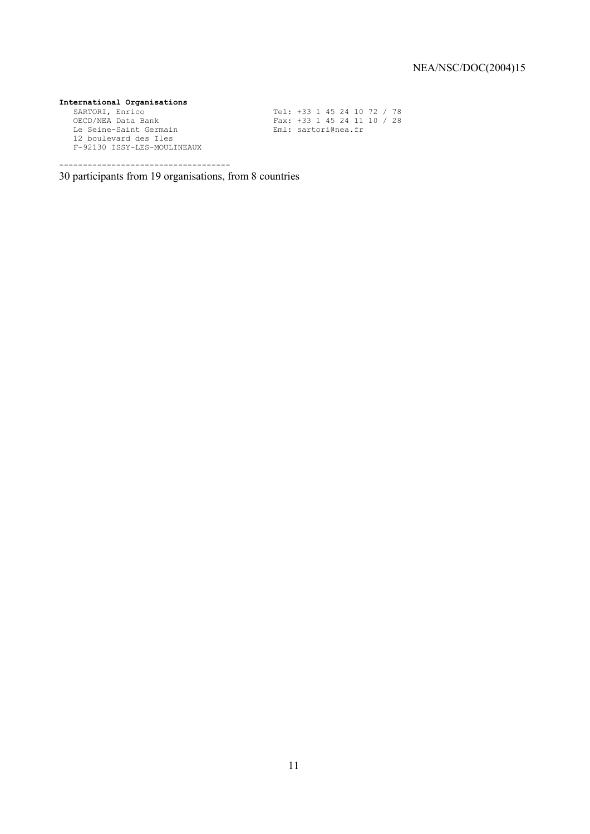**International Organisations**<br>
SARTORI, Enrico<br>
OECD/NEA Data Bank SARTORI, Enrico Tel: +33 1 45 24 10 72 / 78 OECD/NEA Data Bank Fax: +33 1 45 24 11 10 / 28 Le Seine-Saint Germain en Eml: sartori@nea.fr 12 boulevard des Iles F-92130 ISSY-LES-MOULINEAUX

30 participants from 19 organisations, from 8 countries

------------------------------------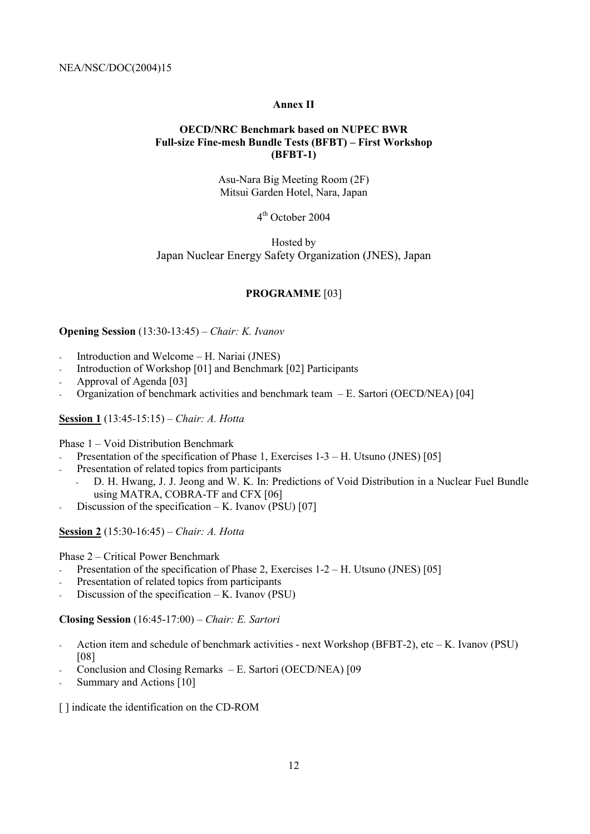#### **Annex II**

#### **OECD/NRC Benchmark based on NUPEC BWR**  Full-size Fine-mesh Bundle Tests (BFBT) – First Workshop **(BFBT-1)**

Asu-Nara Big Meeting Room (2F) Mitsui Garden Hotel, Nara, Japan

4th October 2004

Hosted by Japan Nuclear Energy Safety Organization (JNES), Japan

#### **PROGRAMME** [03]

#### **Opening Session** (13:30-13:45) – *Chair: K. Ivanov*

- Introduction and Welcome  $-H$ . Nariai (JNES)
- Introduction of Workshop [01] and Benchmark [02] Participants
- Approval of Agenda [03]
- Organization of benchmark activities and benchmark team  $-E$ . Sartori (OECD/NEA) [04]

#### **Session 1** (13:45-15:15) – *Chair: A. Hotta*

Phase  $1 -$  Void Distribution Benchmark

- Presentation of the specification of Phase 1, Exercises  $1-3 H$ . Utsuno (JNES) [05]
- Presentation of related topics from participants
	- D. H. Hwang, J. J. Jeong and W. K. In: Predictions of Void Distribution in a Nuclear Fuel Bundle using MATRA, COBRA-TF and CFX [06]
- Discussion of the specification  $-K$ . Ivanov (PSU) [07]

**Session 2** (15:30-16:45) – *Chair: A. Hotta* 

Phase 2 – Critical Power Benchmark

- Presentation of the specification of Phase 2, Exercises  $1-2-H$ . Utsuno (JNES) [05]
- Presentation of related topics from participants
- Discussion of the specification  $-K$ . Ivanov (PSU)

**Closing Session** (16:45-17:00) – *Chair: E. Sartori* 

- Action item and schedule of benchmark activities next Workshop (BFBT-2), etc  $-$  K. Ivanov (PSU) [08]
- Conclusion and Closing Remarks  $-E$ . Sartori (OECD/NEA) [09
- Summary and Actions [10]

[] indicate the identification on the CD-ROM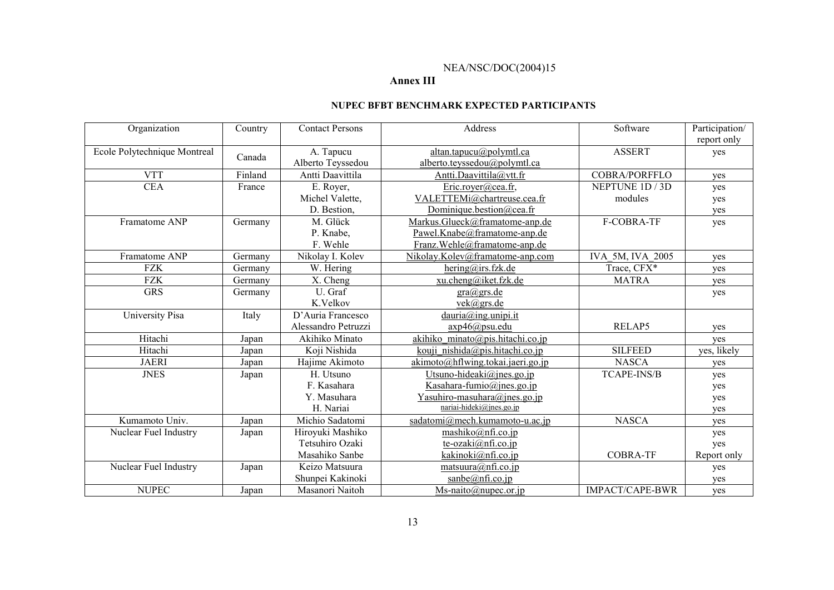#### **Annex III**

#### **NUPEC BFBT BENCHMARK EXPECTED PARTICIPANTS**

| Organization                 | Country | <b>Contact Persons</b> | Address                                          | Software             | Participation/ |
|------------------------------|---------|------------------------|--------------------------------------------------|----------------------|----------------|
|                              |         |                        |                                                  |                      | report only    |
| Ecole Polytechnique Montreal | Canada  | A. Tapucu              | altan.tapucu@polymtl.ca                          | <b>ASSERT</b>        | yes            |
|                              |         | Alberto Teyssedou      | alberto.teyssedou@polymtl.ca                     |                      |                |
| <b>VTT</b>                   | Finland | Antti Daavittila       | Antti.Daavittila@vtt.fr                          | <b>COBRA/PORFFLO</b> | yes            |
| <b>CEA</b>                   | France  | E. Royer,              | Eric.royer@cea.fr,                               | NEPTUNE 1D / 3D      | yes            |
|                              |         | Michel Valette,        | VALETTEMi@chartreuse.cea.fr                      | modules              | yes            |
|                              |         | D. Bestion.            | Dominique.bestion@cea.fr                         |                      | yes            |
| Framatome ANP                | Germany | M. Glück               | Markus.Glueck@framatome-anp.de                   | F-COBRA-TF           | yes            |
|                              |         | P. Knabe,              | Pawel.Knabe@framatome-anp.de                     |                      |                |
|                              |         | F. Wehle               | Franz.Wehle@framatome-anp.de                     |                      |                |
| Framatome ANP                | Germany | Nikolay I. Kolev       | Nikolay.Kolev@framatome-anp.com                  | IVA 5M, IVA 2005     | ves            |
| <b>FZK</b>                   | Germany | W. Hering              | hering@irs.fzk.de                                | Trace, CFX*          | yes            |
| <b>FZK</b>                   | Germany | X. Cheng               | xu.cheng@iket.fzk.de                             | <b>MATRA</b>         | yes            |
| <b>GRS</b>                   | Germany | U. Graf                | gra@grs.de                                       |                      | yes            |
|                              |         | K.Velkov               | $vek(a)$ grs.de                                  |                      |                |
| University Pisa              | Italy   | D'Auria Francesco      | dauria@ing.unipi.it                              |                      |                |
|                              |         | Alessandro Petruzzi    | axp46@psu.edu                                    | RELAP5               | yes            |
| Hitachi                      | Japan   | Akihiko Minato         | akihiko minato@pis.hitachi.co.jp                 |                      | yes            |
| Hitachi                      | Japan   | Koji Nishida           | kouji nishida@pis.hitachi.co.jp                  | <b>SILFEED</b>       | yes, likely    |
| <b>JAERI</b>                 | Japan   | Hajime Akimoto         | akimoto@hflwing.tokai.jaeri.go.jp                | <b>NASCA</b>         | yes            |
| <b>JNES</b>                  | Japan   | H. Utsuno              | Utsuno-hideaki@jnes.go.jp                        | <b>TCAPE-INS/B</b>   | yes            |
|                              |         | F. Kasahara            | Kasahara-fumio@jnes.go.jp                        |                      | yes            |
|                              |         | Y. Masuhara            | Yasuhiro-masuhara@jnes.go.jp                     |                      | yes            |
|                              |         | H. Nariai              | nariai-hideki@jnes.go.jp                         |                      | yes            |
| Kumamoto Univ.               | Japan   | Michio Sadatomi        | sadatomi@mech.kumamoto-u.ac.jp                   | <b>NASCA</b>         | yes            |
| Nuclear Fuel Industry        | Japan   | Hiroyuki Mashiko       | mashiko@nfi.co.jp                                |                      | yes            |
|                              |         | Tetsuhiro Ozaki        | te-ozaki@nfi.co.jp                               |                      | yes            |
|                              |         | Masahiko Sanbe         | kakinoki@nfi.co.jp                               | <b>COBRA-TF</b>      | Report only    |
| Nuclear Fuel Industry        | Japan   | Keizo Matsuura         | matsuura@nfi.co.jp                               |                      | yes            |
|                              |         | Shunpei Kakinoki       | sanbe@nfi.co.jp                                  |                      | yes            |
| <b>NUPEC</b>                 | Japan   | Masanori Naitoh        | $Ms \text{-naito}(\partial \text{nupec. or.}ip)$ | IMPACT/CAPE-BWR      | yes            |